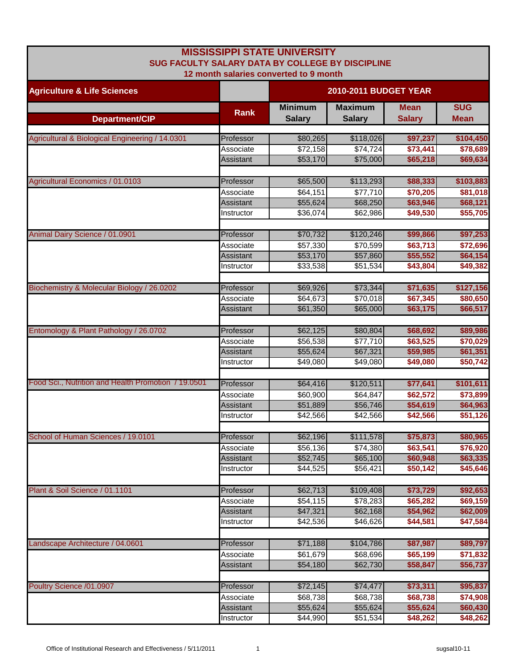| <b>MISSISSIPPI STATE UNIVERSITY</b><br>SUG FACULTY SALARY DATA BY COLLEGE BY DISCIPLINE |                         |                                        |                                 |                              |                           |  |
|-----------------------------------------------------------------------------------------|-------------------------|----------------------------------------|---------------------------------|------------------------------|---------------------------|--|
| <b>Agriculture &amp; Life Sciences</b>                                                  |                         | 12 month salaries converted to 9 month | 2010-2011 BUDGET YEAR           |                              |                           |  |
| Department/CIP                                                                          | <b>Rank</b>             | <b>Minimum</b><br><b>Salary</b>        | <b>Maximum</b><br><b>Salary</b> | <b>Mean</b><br><b>Salary</b> | <b>SUG</b><br><b>Mean</b> |  |
|                                                                                         |                         |                                        |                                 |                              |                           |  |
| Agricultural & Biological Engineering / 14.0301                                         | Professor               | \$80,265                               | \$118,026                       | \$97,237                     | \$104,450                 |  |
|                                                                                         | Associate               | \$72,158                               | \$74,724                        | \$73,441                     | \$78,689                  |  |
|                                                                                         | Assistant               | \$53,170                               | \$75,000                        | \$65,218                     | \$69,634                  |  |
| Agricultural Economics / 01.0103                                                        | Professor               | \$65,500                               | \$113,293                       | \$88,333                     | \$103,883                 |  |
|                                                                                         | Associate               | \$64,151                               | \$77,710                        | \$70,205                     | \$81,018                  |  |
|                                                                                         | <b>Assistant</b>        | \$55,624                               | \$68,250                        | \$63,946                     | \$68,121                  |  |
|                                                                                         | Instructor              | \$36,074                               | \$62,986                        | \$49,530                     | \$55,705                  |  |
| Animal Dairy Science / 01.0901                                                          | Professor               | \$70,732                               | \$120,246                       | \$99,866                     | \$97,253                  |  |
|                                                                                         | Associate               | \$57,330                               | \$70,599                        | \$63,713                     | \$72,696                  |  |
|                                                                                         | Assistant               | \$53,170                               | \$57,860                        | \$55,552                     | \$64,154                  |  |
|                                                                                         | Instructor              | \$33,538                               | \$51,534                        | \$43,804                     | \$49,382                  |  |
| Biochemistry & Molecular Biology / 26.0202                                              | Professor               | \$69,926                               | \$73,344                        | \$71,635                     | \$127,156                 |  |
|                                                                                         | Associate               | \$64,673                               | \$70,018                        | \$67,345                     | \$80,650                  |  |
|                                                                                         | <b>Assistant</b>        | \$61,350                               | \$65,000                        | \$63,175                     | \$66,517                  |  |
|                                                                                         |                         |                                        |                                 |                              |                           |  |
| Entomology & Plant Pathology / 26.0702                                                  | Professor               | \$62,125                               | \$80,804                        | \$68,692                     | \$89,986                  |  |
|                                                                                         | Associate               | \$56,538                               | \$77,710                        | \$63,525                     | \$70,029                  |  |
|                                                                                         | Assistant               | \$55,624                               | \$67,321                        | \$59,985                     | \$61,351                  |  |
|                                                                                         | Instructor              | \$49,080                               | \$49,080                        | \$49,080                     | \$50,742                  |  |
| Food Sci., Nutrition and Health Promotion / 19.0501                                     | Professor               | \$64,416                               | \$120,511                       | \$77,641                     | \$101,611                 |  |
|                                                                                         | Associate               | \$60,900                               | \$64,847                        | \$62,572                     | \$73,899                  |  |
|                                                                                         | Assistant               | \$51,889                               | \$56,746                        | \$54,619                     | \$64,963                  |  |
|                                                                                         | Instructor              | \$42,566                               | \$42,566                        | \$42,566                     | \$51,126                  |  |
| School of Human Sciences / 19.0101                                                      | Professor               | \$62,196                               | \$111,578                       | \$75,873                     | \$80,965                  |  |
|                                                                                         | Associate               | \$56,136                               | \$74,380                        | \$63,541                     | \$76,920                  |  |
|                                                                                         | Assistant               | \$52,745                               | \$65,100                        | \$60,948                     | \$63,335                  |  |
|                                                                                         | Instructor              | \$44,525                               | \$56,421                        | \$50,142                     | \$45,646                  |  |
| Plant & Soil Science / 01.1101                                                          |                         |                                        |                                 |                              |                           |  |
|                                                                                         | Professor               | \$62,713                               | \$109,408                       | \$73,729                     | \$92,653                  |  |
|                                                                                         | Associate               | \$54,115                               | \$78,283                        | \$65,282                     | \$69,159<br>\$62,009      |  |
|                                                                                         | Assistant<br>Instructor | \$47,321<br>\$42,536                   | \$62,168<br>\$46,626            | \$54,962<br>\$44,581         | \$47,584                  |  |
|                                                                                         |                         |                                        |                                 |                              |                           |  |
| Landscape Architecture / 04.0601                                                        | Professor               | \$71,188                               | \$104,786                       | \$87,987                     | \$89,797                  |  |
|                                                                                         | Associate               | \$61,679                               | \$68,696                        | \$65,199                     | \$71,832                  |  |
|                                                                                         | Assistant               | \$54,180                               | \$62,730                        | \$58,847                     | \$56,737                  |  |
| Poultry Science /01.0907                                                                | Professor               | \$72,145                               | \$74,477                        | \$73,311                     | \$95,837                  |  |
|                                                                                         | Associate               | \$68,738                               | \$68,738                        | \$68,738                     | \$74,908                  |  |
|                                                                                         | Assistant               | \$55,624                               | \$55,624                        | \$55,624                     | \$60,430                  |  |
|                                                                                         | Instructor              | \$44,990                               | \$51,534                        | \$48,262                     | \$48,262                  |  |
|                                                                                         |                         |                                        |                                 |                              |                           |  |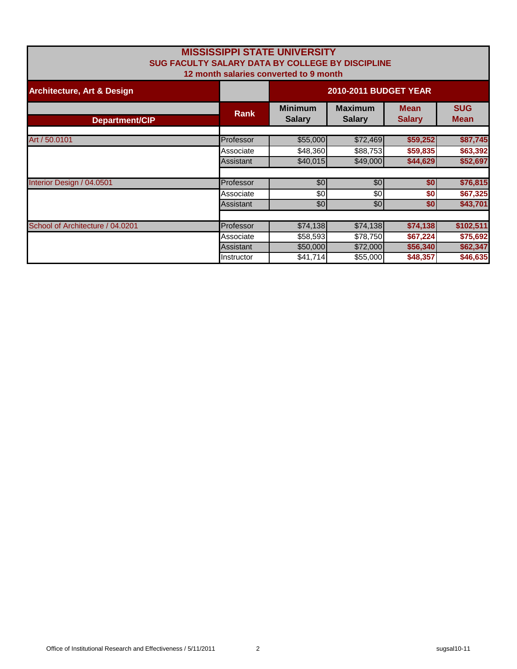| <b>MISSISSIPPI STATE UNIVERSITY</b><br>SUG FACULTY SALARY DATA BY COLLEGE BY DISCIPLINE<br>12 month salaries converted to 9 month |             |                                 |                                 |                              |                           |
|-----------------------------------------------------------------------------------------------------------------------------------|-------------|---------------------------------|---------------------------------|------------------------------|---------------------------|
| <b>Architecture, Art &amp; Design</b>                                                                                             |             |                                 | 2010-2011 BUDGET YEAR           |                              |                           |
| <b>Department/CIP</b>                                                                                                             | <b>Rank</b> | <b>Minimum</b><br><b>Salary</b> | <b>Maximum</b><br><b>Salary</b> | <b>Mean</b><br><b>Salary</b> | <b>SUG</b><br><b>Mean</b> |
| Art / 50.0101                                                                                                                     | Professor   | \$55,000                        | \$72,469                        | \$59,252                     | \$87,745                  |
|                                                                                                                                   | Associate   | \$48,360                        | \$88,753                        | \$59,835                     | \$63,392                  |
|                                                                                                                                   | Assistant   | \$40,015                        | \$49,000                        | \$44,629                     | \$52,697                  |
| Interior Design / 04.0501                                                                                                         | Professor   | $\overline{50}$                 | \$0                             | \$0                          | \$76,815                  |
|                                                                                                                                   | Associate   | \$0                             | \$0                             | \$0                          | \$67,325                  |
|                                                                                                                                   | Assistant   | \$0                             | \$0                             | \$0                          | \$43,701                  |
|                                                                                                                                   |             |                                 |                                 |                              |                           |
| School of Architecture / 04.0201                                                                                                  | Professor   | \$74,138                        | \$74,138                        | \$74,138                     | \$102,511                 |
|                                                                                                                                   | Associate   | \$58,593                        | \$78,750                        | \$67,224                     | \$75,692                  |
|                                                                                                                                   | Assistant   | \$50,000                        | \$72,000                        | \$56,340                     | \$62,347                  |
|                                                                                                                                   | Instructor  | \$41,714                        | \$55,000                        | \$48,357                     | \$46,635                  |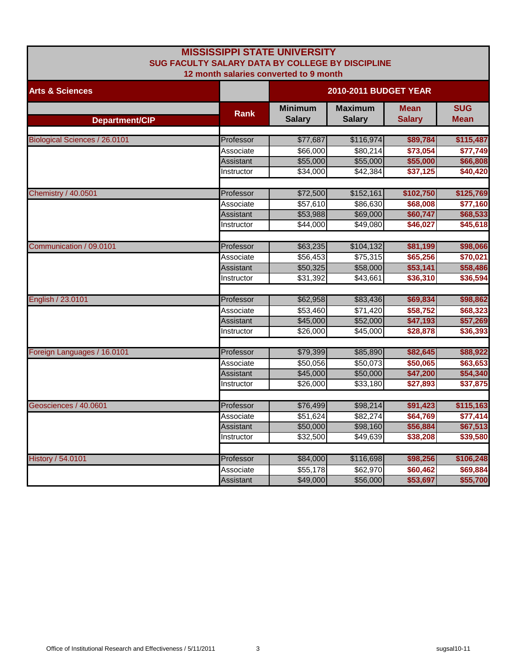|                               | <b>MISSISSIPPI STATE UNIVERSITY</b>              |                |                |                       |             |  |
|-------------------------------|--------------------------------------------------|----------------|----------------|-----------------------|-------------|--|
|                               | SUG FACULTY SALARY DATA BY COLLEGE BY DISCIPLINE |                |                |                       |             |  |
|                               | 12 month salaries converted to 9 month           |                |                |                       |             |  |
| <b>Arts &amp; Sciences</b>    |                                                  |                |                | 2010-2011 BUDGET YEAR |             |  |
|                               | <b>Rank</b>                                      | <b>Minimum</b> | <b>Maximum</b> | <b>Mean</b>           | <b>SUG</b>  |  |
| Department/CIP                |                                                  | <b>Salary</b>  | <b>Salary</b>  | <b>Salary</b>         | <b>Mean</b> |  |
|                               |                                                  |                |                |                       |             |  |
| Biological Sciences / 26.0101 | Professor                                        | \$77,687       | \$116,974      | \$89,784              | \$115,487   |  |
|                               | Associate                                        | \$66,000       | \$80,214       | \$73,054              | \$77,749    |  |
|                               | Assistant                                        | \$55,000       | \$55,000       | \$55,000              | \$66,808    |  |
|                               | Instructor                                       | \$34,000       | \$42,384       | \$37,125              | \$40,420    |  |
|                               |                                                  |                |                |                       |             |  |
| Chemistry / 40.0501           | Professor                                        | \$72,500       | \$152,161      | \$102,750             | \$125,769   |  |
|                               | Associate                                        | \$57,610       | \$86,630       | \$68,008              | \$77,160    |  |
|                               | Assistant                                        | \$53,988       | \$69,000       | \$60,747              | \$68,533    |  |
|                               | Instructor                                       | \$44,000       | \$49,080       | \$46,027              | \$45,618    |  |
|                               |                                                  |                |                |                       |             |  |
| Communication / 09.0101       | Professor                                        | \$63,235       | \$104,132      | \$81,199              | \$98,066    |  |
|                               | Associate                                        | \$56,453       | \$75,315       | \$65,256              | \$70,021    |  |
|                               | Assistant                                        | \$50,325       | \$58,000       | \$53,141              | \$58,486    |  |
|                               | Instructor                                       | \$31,392       | \$43,661       | \$36,310              | \$36,594    |  |
|                               |                                                  |                |                |                       |             |  |
| English / 23.0101             | Professor                                        | \$62,958       | \$83,436       | \$69,834              | \$98,862    |  |
|                               | Associate                                        | \$53,460       | \$71,420       | \$58,752              | \$68,323    |  |
|                               | Assistant                                        | \$45,000       | \$52,000       | \$47,193              | \$57,269    |  |
|                               | Instructor                                       | \$26,000       | \$45,000       | \$28,878              | \$36,393    |  |
|                               |                                                  |                |                |                       |             |  |
| Foreign Languages / 16.0101   | Professor                                        | \$79,399       | \$85,890       | \$82,645              | \$88,922    |  |
|                               | Associate                                        | \$50,056       | \$50,073       | \$50,065              | \$63,653    |  |
|                               | Assistant                                        | \$45,000       | \$50,000       | \$47,200              | \$54,340    |  |
|                               | Instructor                                       | \$26,000       | \$33,180       | \$27,893              | \$37,875    |  |
|                               |                                                  |                |                |                       |             |  |
| Geosciences / 40.0601         | Professor                                        | \$76,499       | \$98,214       | \$91,423              | \$115,163   |  |
|                               | Associate                                        | \$51,624       | \$82,274       | \$64,769              | \$77,414    |  |
|                               | <b>Assistant</b>                                 | \$50,000       | \$98,160       | \$56,884              | \$67,513    |  |
|                               | Instructor                                       | \$32,500       | \$49,639       | \$38,208              | \$39,580    |  |
|                               |                                                  |                |                |                       |             |  |
| <b>History / 54.0101</b>      | Professor                                        | \$84,000       | \$116,698      | \$98,256              | \$106,248   |  |
|                               | Associate                                        | \$55,178       | \$62,970       | \$60,462              | \$69,884    |  |
|                               | Assistant                                        | \$49,000       | \$56,000       | \$53,697              | \$55,700    |  |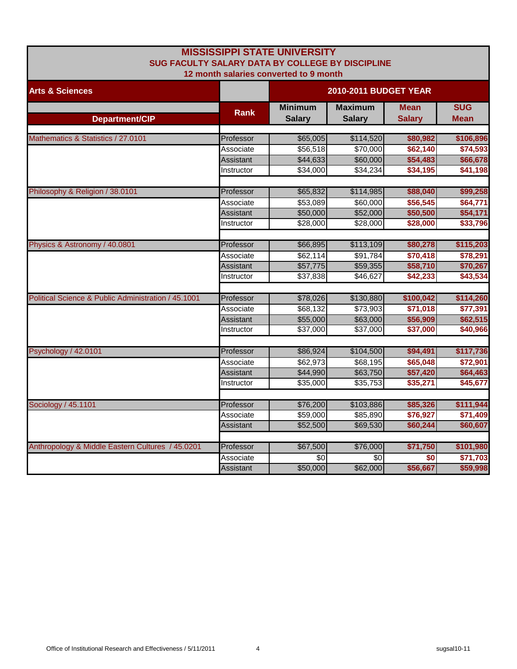|                                                     |                  | <b>MISSISSIPPI STATE UNIVERSITY</b>              |               |               |             |
|-----------------------------------------------------|------------------|--------------------------------------------------|---------------|---------------|-------------|
|                                                     |                  | SUG FACULTY SALARY DATA BY COLLEGE BY DISCIPLINE |               |               |             |
|                                                     |                  | 12 month salaries converted to 9 month           |               |               |             |
| <b>Arts &amp; Sciences</b>                          |                  | <b>2010-2011 BUDGET YEAR</b>                     |               |               |             |
|                                                     |                  | <b>Minimum</b>                                   | Maximum       | <b>Mean</b>   | <b>SUG</b>  |
| Department/CIP                                      | <b>Rank</b>      | <b>Salary</b>                                    | <b>Salary</b> | <b>Salary</b> | <b>Mean</b> |
| Mathematics & Statistics / 27.0101                  | Professor        | \$65,005                                         | \$114,520     | \$80,982      | \$106,896   |
|                                                     | Associate        | \$56,518                                         | \$70,000      | \$62,140      | \$74,593    |
|                                                     | Assistant        | \$44,633                                         | \$60,000      | \$54,483      | \$66,678    |
|                                                     | Instructor       | \$34,000                                         | \$34,234      | \$34,195      | \$41,198    |
| Philosophy & Religion / 38.0101                     | Professor        | \$65,832                                         | \$114,985     | \$88,040      | \$99,258    |
|                                                     | Associate        | \$53,089                                         | \$60,000      | \$56,545      | \$64,771    |
|                                                     | Assistant        | \$50,000                                         | \$52,000      | \$50,500      | \$54,171    |
|                                                     | Instructor       | \$28,000                                         | \$28,000      | \$28,000      | \$33,796    |
|                                                     |                  |                                                  |               |               |             |
| Physics & Astronomy / 40.0801                       | Professor        | \$66,895                                         | \$113,109     | \$80,278      | \$115,203   |
|                                                     | Associate        | \$62,114                                         | \$91,784      | \$70,418      | \$78,291    |
|                                                     | Assistant        | \$57,775                                         | \$59,355      | \$58,710      | \$70,267    |
|                                                     | Instructor       | \$37,838                                         | \$46,627      | \$42,233      | \$43,534    |
| Political Science & Public Administration / 45.1001 | Professor        | \$78,026                                         | \$130,880     | \$100,042     | \$114,260   |
|                                                     | Associate        | \$68,132                                         | \$73,903      | \$71,018      | \$77,391    |
|                                                     | <b>Assistant</b> | \$55,000                                         | \$63,000      | \$56,909      | \$62,515    |
|                                                     | Instructor       | \$37,000                                         | \$37,000      | \$37,000      | \$40,966    |
| Psychology / 42.0101                                | Professor        | \$86,924                                         | \$104,500     | \$94,491      | \$117,736   |
|                                                     | Associate        | \$62,973                                         | \$68,195      | \$65,048      | \$72,901    |
|                                                     | Assistant        | \$44,990                                         | \$63,750      | \$57,420      | \$64,463    |
|                                                     | Instructor       | \$35,000                                         | \$35,753      | \$35,271      | \$45,677    |
|                                                     |                  |                                                  |               |               |             |
| Sociology / 45.1101                                 | Professor        | \$76,200                                         | \$103,886     | \$85,326      | \$111,944   |
|                                                     | Associate        | \$59,000                                         | \$85,890      | \$76,927      | \$71,409    |
|                                                     | Assistant        | \$52,500                                         | \$69,530      | \$60,244      | \$60,607    |
| Anthropology & Middle Eastern Cultures / 45.0201    | Professor        | \$67,500                                         | \$76,000      | \$71,750      | \$101,980   |
|                                                     | Associate        | \$0                                              | \$0           | \$0           | \$71,703    |
|                                                     | Assistant        | \$50,000                                         | \$62,000      | \$56,667      | \$59,998    |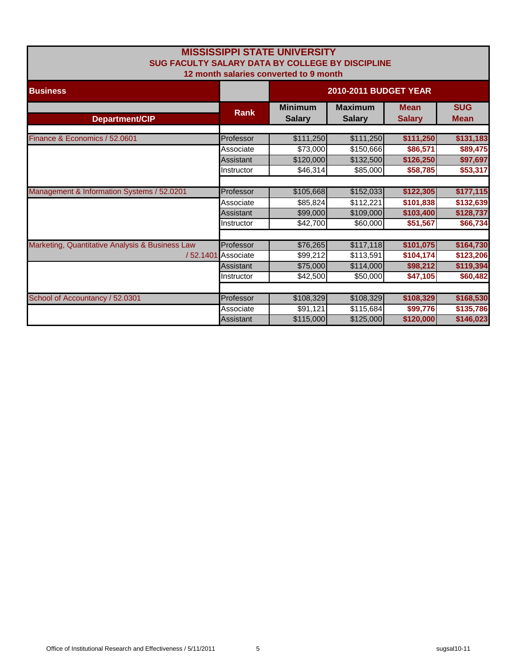| <b>MISSISSIPPI STATE UNIVERSITY</b><br>SUG FACULTY SALARY DATA BY COLLEGE BY DISCIPLINE<br>12 month salaries converted to 9 month |                       |                                 |                                 |                              |                           |
|-----------------------------------------------------------------------------------------------------------------------------------|-----------------------|---------------------------------|---------------------------------|------------------------------|---------------------------|
| <b>Business</b>                                                                                                                   | 2010-2011 BUDGET YEAR |                                 |                                 |                              |                           |
| Department/CIP                                                                                                                    | <b>Rank</b>           | <b>Minimum</b><br><b>Salary</b> | <b>Maximum</b><br><b>Salary</b> | <b>Mean</b><br><b>Salary</b> | <b>SUG</b><br><b>Mean</b> |
|                                                                                                                                   |                       |                                 |                                 |                              |                           |
| Finance & Economics / 52.0601                                                                                                     | Professor             | \$111,250                       | \$111,250                       | \$111,250                    | \$131,183                 |
|                                                                                                                                   | Associate             | \$73,000                        | \$150,666                       | \$86,571                     | \$89,475                  |
|                                                                                                                                   | Assistant             | \$120,000                       | \$132,500                       | \$126,250                    | \$97,697                  |
|                                                                                                                                   | Instructor            | \$46,314                        | \$85,000                        | \$58,785                     | \$53,317                  |
|                                                                                                                                   |                       |                                 |                                 |                              |                           |
| Management & Information Systems / 52.0201                                                                                        | Professor             | \$105,668                       | \$152,033                       | \$122,305                    | \$177,115                 |
|                                                                                                                                   | Associate             | \$85,824                        | \$112,221                       | \$101,838                    | \$132,639                 |
|                                                                                                                                   | Assistant             | \$99,000                        | \$109,000                       | \$103,400                    | \$128,737                 |
|                                                                                                                                   | Instructor            | \$42,700                        | \$60,000                        | \$51,567                     | \$66,734                  |
|                                                                                                                                   |                       |                                 |                                 |                              |                           |
| Marketing, Quantitative Analysis & Business Law                                                                                   | Professor             | \$76,265                        | \$117,118                       | \$101,075                    | \$164,730                 |
| /52.1401                                                                                                                          | Associate             | \$99,212                        | \$113,591                       | \$104,174                    | \$123,206                 |
|                                                                                                                                   | Assistant             | \$75,000                        | \$114,000                       | \$98,212                     | \$119,394                 |
|                                                                                                                                   | Instructor            | \$42,500                        | \$50,000                        | \$47,105                     | \$60,482                  |
|                                                                                                                                   |                       |                                 |                                 |                              |                           |
| School of Accountancy / 52.0301                                                                                                   | Professor             | \$108,329                       | \$108,329                       | \$108,329                    | \$168,530                 |
|                                                                                                                                   | Associate             | \$91,121                        | \$115,684                       | \$99,776                     | \$135,786                 |
|                                                                                                                                   | Assistant             | \$115,000                       | \$125,000                       | \$120,000                    | \$146,023                 |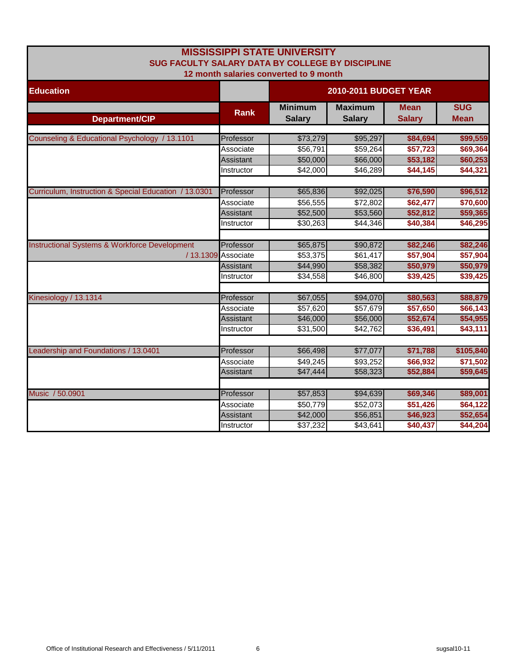| <b>MISSISSIPPI STATE UNIVERSITY</b><br>SUG FACULTY SALARY DATA BY COLLEGE BY DISCIPLINE<br>12 month salaries converted to 9 month |                     |                                 |                                 |                              |                           |  |  |
|-----------------------------------------------------------------------------------------------------------------------------------|---------------------|---------------------------------|---------------------------------|------------------------------|---------------------------|--|--|
| <b>Education</b>                                                                                                                  |                     | 2010-2011 BUDGET YEAR           |                                 |                              |                           |  |  |
| Department/CIP                                                                                                                    | <b>Rank</b>         | <b>Minimum</b><br><b>Salary</b> | <b>Maximum</b><br><b>Salary</b> | <b>Mean</b><br><b>Salary</b> | <b>SUG</b><br><b>Mean</b> |  |  |
| Counseling & Educational Psychology / 13.1101                                                                                     | Professor           | \$73,279                        | \$95,297                        | \$84,694                     | \$99,559                  |  |  |
|                                                                                                                                   | Associate           | \$56,791                        | \$59,264                        | \$57,723                     | \$69,364                  |  |  |
|                                                                                                                                   | Assistant           | \$50,000                        | \$66,000                        | \$53,182                     | \$60,253                  |  |  |
|                                                                                                                                   | Instructor          | \$42,000                        | \$46,289                        | \$44,145                     | \$44,321                  |  |  |
| Curriculum, Instruction & Special Education / 13.0301                                                                             | Professor           | \$65,836                        | \$92,025                        | \$76,590                     | \$96,512                  |  |  |
|                                                                                                                                   | Associate           | \$56,555                        | \$72,802                        | \$62,477                     | \$70,600                  |  |  |
|                                                                                                                                   | Assistant           | \$52,500                        | \$53,560                        | \$52,812                     | \$59,365                  |  |  |
|                                                                                                                                   | Instructor          | \$30,263                        | \$44,346                        | \$40,384                     | \$46,295                  |  |  |
|                                                                                                                                   |                     |                                 |                                 |                              |                           |  |  |
| <b>Instructional Systems &amp; Workforce Development</b>                                                                          | Professor           | \$65,875                        | \$90,872                        | \$82,246                     | \$82,246                  |  |  |
|                                                                                                                                   | / 13.1309 Associate | \$53,375                        | \$61,417                        | \$57,904                     | \$57,904                  |  |  |
|                                                                                                                                   | Assistant           | \$44,990                        | \$58,382                        | \$50,979                     | \$50,979                  |  |  |
|                                                                                                                                   | Instructor          | \$34,558                        | \$46,800                        | \$39,425                     | \$39,425                  |  |  |
| Kinesiology / 13.1314                                                                                                             | Professor           | \$67,055                        | \$94,070                        | \$80,563                     | \$88,879                  |  |  |
|                                                                                                                                   | Associate           | \$57,620                        | \$57,679                        | \$57,650                     | \$66,143                  |  |  |
|                                                                                                                                   | Assistant           | \$46,000                        | \$56,000                        | \$52,674                     | \$54,955                  |  |  |
|                                                                                                                                   | Instructor          | \$31,500                        | \$42,762                        | \$36,491                     | \$43,111                  |  |  |
| Leadership and Foundations / 13.0401                                                                                              | Professor           | \$66,498                        | \$77,077                        | \$71,788                     | \$105,840                 |  |  |
|                                                                                                                                   | Associate           | \$49,245                        | \$93,252                        | \$66,932                     | \$71,502                  |  |  |
|                                                                                                                                   | Assistant           | \$47,444                        | \$58,323                        | \$52,884                     | \$59,645                  |  |  |
|                                                                                                                                   |                     |                                 |                                 |                              |                           |  |  |
| Music / 50.0901                                                                                                                   | Professor           | \$57,853                        | \$94,639                        | \$69,346                     | \$89,001                  |  |  |
|                                                                                                                                   | Associate           | \$50,779                        | \$52,073                        | \$51,426                     | \$64,122                  |  |  |
|                                                                                                                                   | <b>Assistant</b>    | \$42,000                        | \$56,851                        | \$46,923                     | \$52,654                  |  |  |
|                                                                                                                                   | Instructor          | \$37,232                        | \$43,641                        | \$40,437                     | \$44,204                  |  |  |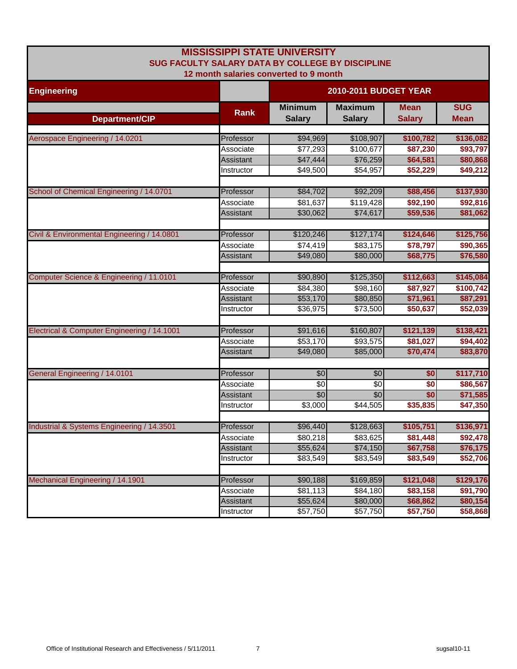|                                             | <b>MISSISSIPPI STATE UNIVERSITY</b><br>SUG FACULTY SALARY DATA BY COLLEGE BY DISCIPLINE |                              |                 |               |             |  |  |
|---------------------------------------------|-----------------------------------------------------------------------------------------|------------------------------|-----------------|---------------|-------------|--|--|
|                                             | 12 month salaries converted to 9 month                                                  |                              |                 |               |             |  |  |
| <b>Engineering</b>                          |                                                                                         | <b>2010-2011 BUDGET YEAR</b> |                 |               |             |  |  |
|                                             | <b>Rank</b>                                                                             | <b>Minimum</b>               | <b>Maximum</b>  | <b>Mean</b>   | <b>SUG</b>  |  |  |
| Department/CIP                              |                                                                                         | <b>Salary</b>                | <b>Salary</b>   | <b>Salary</b> | <b>Mean</b> |  |  |
| Aerospace Engineering / 14.0201             | Professor                                                                               | \$94,969                     | \$108,907       | \$100,782     | \$136,082   |  |  |
|                                             | Associate                                                                               | \$77,293                     | \$100,677       | \$87,230      | \$93,797    |  |  |
|                                             | Assistant                                                                               | \$47,444                     | \$76,259        | \$64,581      | \$80,868    |  |  |
|                                             | Instructor                                                                              | \$49,500                     | \$54,957        | \$52,229      | \$49,212    |  |  |
| School of Chemical Engineering / 14.0701    | Professor                                                                               | \$84,702                     | \$92,209        | \$88,456      | \$137,930   |  |  |
|                                             | Associate                                                                               | \$81,637                     | \$119,428       | \$92,190      | \$92,816    |  |  |
|                                             | Assistant                                                                               | \$30,062                     | \$74,617        | \$59,536      | \$81,062    |  |  |
| Civil & Environmental Engineering / 14.0801 | Professor                                                                               | \$120,246                    | \$127,174       | \$124,646     | \$125,756   |  |  |
|                                             | Associate                                                                               | \$74,419                     | \$83,175        | \$78,797      | \$90,365    |  |  |
|                                             | Assistant                                                                               | \$49,080                     | \$80,000        | \$68,775      | \$76,580    |  |  |
| Computer Science & Engineering / 11.0101    | Professor                                                                               | \$90,890                     | \$125,350       | \$112,663     | \$145,084   |  |  |
|                                             | Associate                                                                               | \$84,380                     | \$98,160        | \$87,927      | \$100,742   |  |  |
|                                             | Assistant                                                                               | \$53,170                     | \$80,850        | \$71,961      | \$87,291    |  |  |
|                                             | Instructor                                                                              | \$36,975                     | \$73,500        | \$50,637      | \$52,039    |  |  |
| Electrical & Computer Engineering / 14.1001 | Professor                                                                               | \$91,616                     | \$160,807       | \$121,139     | \$138,421   |  |  |
|                                             | Associate                                                                               | \$53,170                     | \$93,575        | \$81,027      | \$94,402    |  |  |
|                                             | Assistant                                                                               | \$49,080                     | \$85,000        | \$70,474      | \$83,870    |  |  |
| <b>General Engineering / 14.0101</b>        | Professor                                                                               | \$0                          | \$0             | \$0           | \$117,710   |  |  |
|                                             | Associate                                                                               | $\sqrt{6}$                   | $\sqrt{6}$      | \$0           | \$86,567    |  |  |
|                                             | <b>Assistant</b>                                                                        | \$0                          | $\overline{60}$ | \$0           | \$71,585    |  |  |
|                                             | Instructor                                                                              | \$3,000                      | \$44,505        | \$35,835      | \$47,350    |  |  |
| Industrial & Systems Engineering / 14.3501  | Professor                                                                               | \$96,440                     | \$128,663       | \$105,751     | \$136,971   |  |  |
|                                             | Associate                                                                               | \$80,218                     | \$83,625        | \$81,448      | \$92,478    |  |  |
|                                             | Assistant                                                                               | \$55,624                     | \$74,150        | \$67,758      | \$76,175    |  |  |
|                                             | Instructor                                                                              | \$83,549                     | \$83,549        | \$83,549      | \$52,706    |  |  |
| Mechanical Engineering / 14.1901            | Professor                                                                               | \$90,188                     | \$169,859       | \$121,048     | \$129,176   |  |  |
|                                             | Associate                                                                               | \$81,113                     | \$84,180        | \$83,158      | \$91,790    |  |  |
|                                             | Assistant                                                                               | \$55,624                     | \$80,000        | \$68,862      | \$80,154    |  |  |
|                                             | Instructor                                                                              | \$57,750                     | \$57,750        | \$57,750      | \$58,868    |  |  |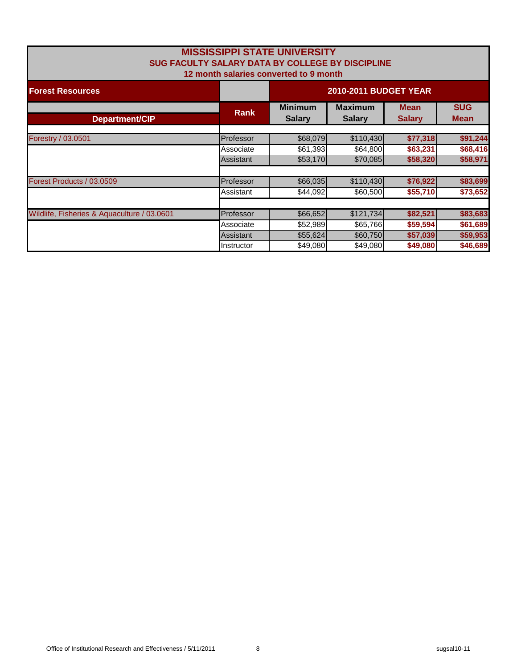| <b>MISSISSIPPI STATE UNIVERSITY</b><br>SUG FACULTY SALARY DATA BY COLLEGE BY DISCIPLINE<br>12 month salaries converted to 9 month |                  |                                 |                                 |                              |                           |  |
|-----------------------------------------------------------------------------------------------------------------------------------|------------------|---------------------------------|---------------------------------|------------------------------|---------------------------|--|
| <b>Forest Resources</b>                                                                                                           |                  |                                 | 2010-2011 BUDGET YEAR           |                              |                           |  |
| Department/CIP                                                                                                                    | <b>Rank</b>      | <b>Minimum</b><br><b>Salary</b> | <b>Maximum</b><br><b>Salary</b> | <b>Mean</b><br><b>Salary</b> | <b>SUG</b><br><b>Mean</b> |  |
|                                                                                                                                   |                  |                                 |                                 |                              |                           |  |
| Forestry / 03.0501                                                                                                                | Professor        | \$68,079                        | \$110,430                       | \$77,318                     | \$91,244                  |  |
|                                                                                                                                   | Associate        | \$61,393                        | \$64,800                        | \$63,231                     | \$68,416                  |  |
|                                                                                                                                   | <b>Assistant</b> | \$53,170                        | \$70,085                        | \$58,320                     | \$58,971                  |  |
| Forest Products / 03.0509                                                                                                         | Professor        | \$66,035                        | \$110,430                       | \$76,922                     | \$83,699                  |  |
|                                                                                                                                   | Assistant        | \$44,092                        | \$60,500                        | \$55,710                     | \$73,652                  |  |
|                                                                                                                                   |                  |                                 |                                 |                              |                           |  |
| Wildlife, Fisheries & Aquaculture / 03.0601                                                                                       | Professor        | \$66,652                        | \$121,734                       | \$82,521                     | \$83,683                  |  |
|                                                                                                                                   | Associate        | \$52,989                        | \$65,766                        | \$59,594                     | \$61,689                  |  |
|                                                                                                                                   | Assistant        | \$55,624                        | \$60,750                        | \$57,039                     | \$59,953                  |  |
|                                                                                                                                   | Instructor       | \$49,080                        | \$49,080                        | \$49,080                     | \$46,689                  |  |